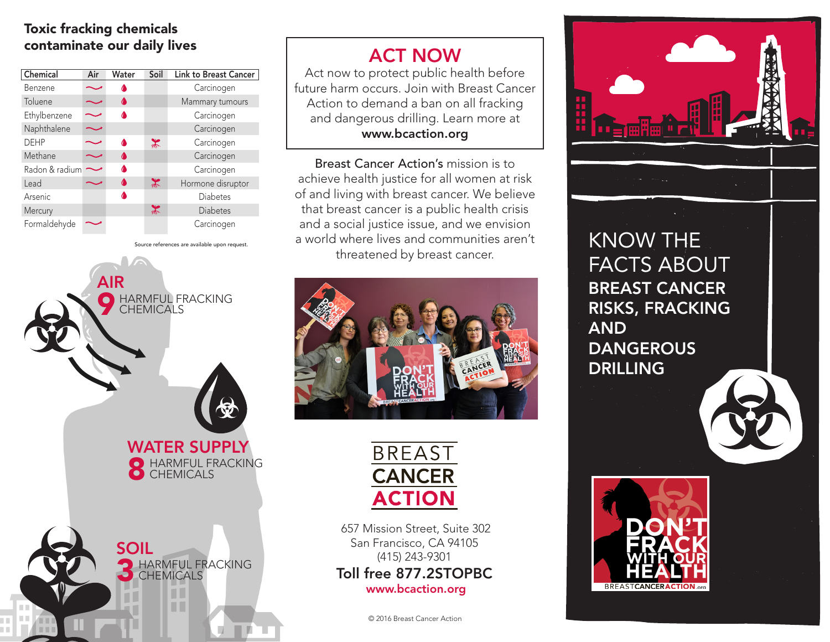## Toxic fracking chemicals contaminate our daily lives

| Chemical       | Air | Water | Soil          | <b>Link to Breast Cancer</b> |
|----------------|-----|-------|---------------|------------------------------|
| <b>Benzene</b> |     |       |               | Carcinogen                   |
| Toluene        |     | ◑     |               | Mammary tumours              |
| Ethylbenzene   |     |       |               | Carcinogen                   |
| Naphthalene    |     |       |               | Carcinogen                   |
| <b>DEHP</b>    |     | ^     | $\frac{1}{2}$ | Carcinogen                   |
| Methane        |     | ^     |               | Carcinogen                   |
| Radon & radium |     | Δ     |               | Carcinogen                   |
| Lead           |     | ^     | $\frac{1}{2}$ | Hormone disruptor            |
| Arsenic        |     |       |               | Diabetes                     |
| Mercury        |     |       | $\ast$        | <b>Diabetes</b>              |
| Formaldehyde   |     |       |               | Carcinogen                   |



## ACT NOW

Act now to protect public health before future harm occurs. Join with Breast Cancer Action to demand a ban on all fracking and dangerous drilling. Learn more at www.bcaction.org

Breast Cancer Action's mission is to achieve health justice for all women at risk of and living with breast cancer. We believe that breast cancer is a public health crisis and a social justice issue, and we envision a world where lives and communities aren't threatened by breast cancer.





 657 Mission Street, Suite 302 San Francisco, CA 94105 (415) 243-9301 Toll free 877.2STOPBC www.bcaction.org

© 2016 Breast Cancer Action



KNOW THE FACTS ABOUT BREAST CANCER RISKS, FRACKING AND **DANGEROUS DRILLING**